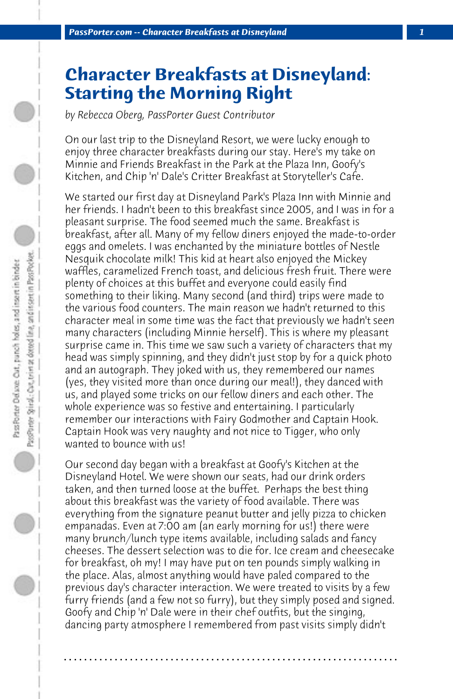## **Character Breakfasts at Disneyland: Starting the Morning Right**

*by Rebecca Oberg, PassPorter Guest Contributor*

On our last trip to the Disneyland Resort, we were lucky enough to enjoy three character breakfasts during our stay. Here's my take on Minnie and Friends Breakfast in the Park at the Plaza Inn, Goofy's Kitchen, and Chip 'n' Dale's Critter Breakfast at Storyteller's Cafe.

We started our first day at Disneyland Park's Plaza Inn with Minnie and her friends. I hadn't been to this breakfast since 2005, and I was in for a pleasant surprise. The food seemed much the same. Breakfast is breakfast, after all. Many of my fellow diners enjoyed the made-to-order eggs and omelets. I was enchanted by the miniature bottles of Nestle Nesquik chocolate milk! This kid at heart also enjoyed the Mickey waffles, caramelized French toast, and delicious fresh fruit. There were plenty of choices at this buffet and everyone could easily find something to their liking. Many second (and third) trips were made to the various food counters. The main reason we hadn't returned to this character meal in some time was the fact that previously we hadn't seen many characters (including Minnie herself). This is where my pleasant surprise came in. This time we saw such a variety of characters that my head was simply spinning, and they didn't just stop by for a quick photo and an autograph. They joked with us, they remembered our names (yes, they visited more than once during our meal!), they danced with us, and played some tricks on our fellow diners and each other. The whole experience was so festive and entertaining. I particularly remember our interactions with Fairy Godmother and Captain Hook. Captain Hook was very naughty and not nice to Tigger, who only wanted to bounce with us!

Our second day began with a breakfast at Goofy's Kitchen at the Disneyland Hotel. We were shown our seats, had our drink orders taken, and then turned loose at the buffet. Perhaps the best thing about this breakfast was the variety of food available. There was everything from the signature peanut butter and jelly pizza to chicken empanadas. Even at 7:00 am (an early morning for us!) there were many brunch/lunch type items available, including salads and fancy cheeses. The dessert selection was to die for. Ice cream and cheesecake for breakfast, oh my! I may have put on ten pounds simply walking in the place. Alas, almost anything would have paled compared to the previous day's character interaction. We were treated to visits by a few furry friends (and a few not so furry), but they simply posed and signed. Goofy and Chip 'n' Dale were in their chef outfits, but the singing, dancing party atmosphere I remembered from past visits simply didn't

**. . . . . . . . . . . . . . . . . . . . . . . . . . . . . . . . . . . . . . . . . . . . . . . . . . . . . . . . . . . . . . . . . .**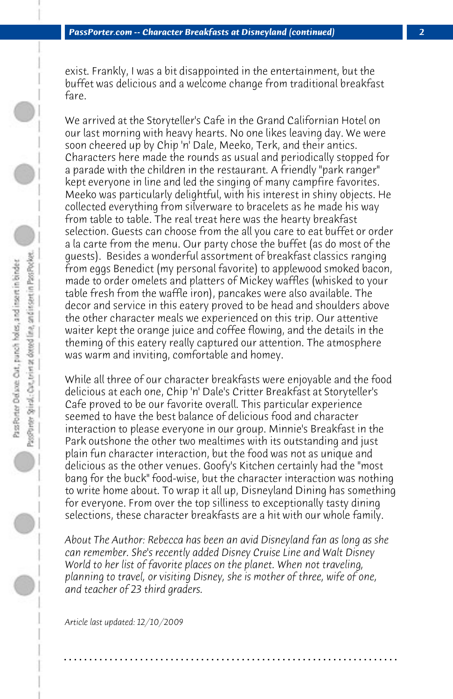exist. Frankly, I was a bit disappointed in the entertainment, but the buffet was delicious and a welcome change from traditional breakfast fare.

We arrived at the Storyteller's Cafe in the Grand Californian Hotel on our last morning with heavy hearts. No one likes leaving day. We were soon cheered up by Chip 'n' Dale, Meeko, Terk, and their antics. Characters here made the rounds as usual and periodically stopped for a parade with the children in the restaurant. A friendly "park ranger" kept everyone in line and led the singing of many campfire favorites. Meeko was particularly delightful, with his interest in shiny objects. He collected everything from silverware to bracelets as he made his way from table to table. The real treat here was the hearty breakfast selection. Guests can choose from the all you care to eat buffet or order a la carte from the menu. Our party chose the buffet (as do most of the guests). Besides a wonderful assortment of breakfast classics ranging from eggs Benedict (my personal favorite) to applewood smoked bacon, made to order omelets and platters of Mickey waffles (whisked to your table fresh from the waffle iron), pancakes were also available. The decor and service in this eatery proved to be head and shoulders above the other character meals we experienced on this trip. Our attentive waiter kept the orange juice and coffee flowing, and the details in the theming of this eatery really captured our attention. The atmosphere was warm and inviting, comfortable and homey.

While all three of our character breakfasts were enjoyable and the food delicious at each one, Chip 'n' Dale's Critter Breakfast at Storyteller's Cafe proved to be our favorite overall. This particular experience seemed to have the best balance of delicious food and character interaction to please everyone in our group. Minnie's Breakfast in the Park outshone the other two mealtimes with its outstanding and just plain fun character interaction, but the food was not as unique and delicious as the other venues. Goofy's Kitchen certainly had the "most bang for the buck" food-wise, but the character interaction was nothing to write home about. To wrap it all up, Disneyland Dining has something for everyone. From over the top silliness to exceptionally tasty dining selections, these character breakfasts are a hit with our whole family.

*About The Author: Rebecca has been an avid Disneyland fan as long as she can remember. She's recently added Disney Cruise Line and Walt Disney World to her list of favorite places on the planet. When not traveling, planning to travel, or visiting Disney, she is mother of three, wife of one, and teacher of 23 third graders.*

**. . . . . . . . . . . . . . . . . . . . . . . . . . . . . . . . . . . . . . . . . . . . . . . . . . . . . . . . . . . . . . . . . .**

*Article last updated: 12/10/2009*